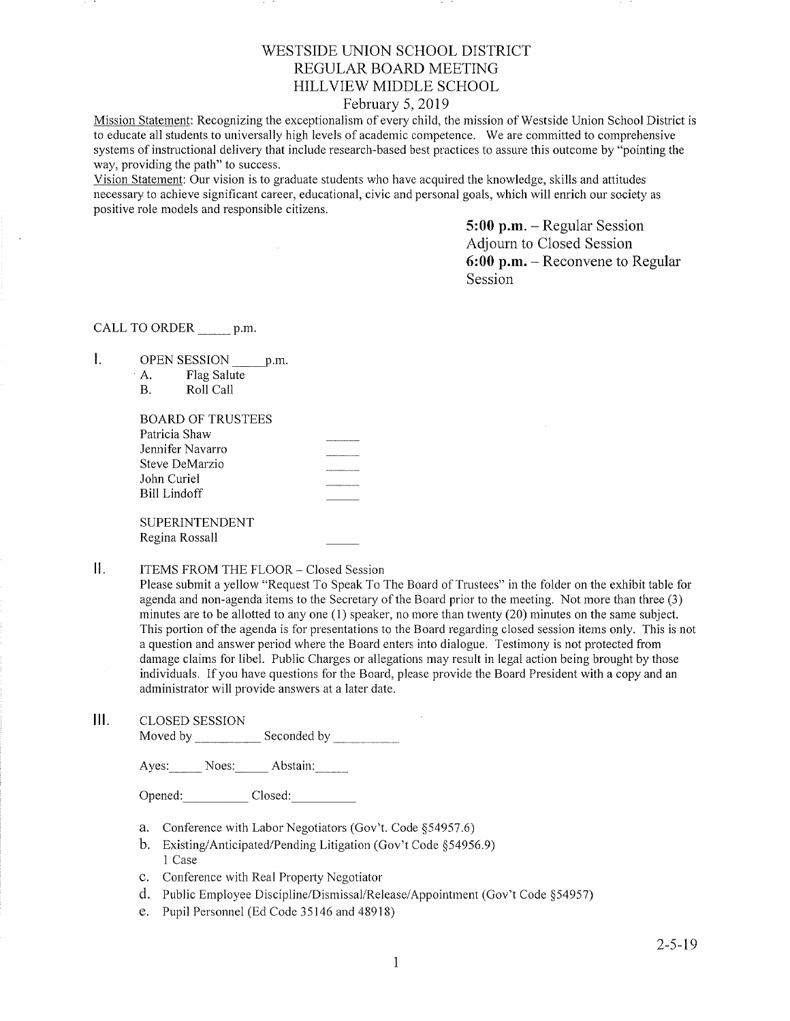## WESTSIDE LINION SCHOOL DISTRICT REGULAR BOARD MEETING HILLVIEW MIDDLE SCHOOL

## February 5,2019

Mission Statement: Recognizing the exceptionalism of every child, the mission of Westside Union School District is to educate all students to universally high levels of academic competence. We are committed to comprehensive systems of instructional delivery that include research-based best practices to assure this outcome by "pointing the way, providing the path" to success.

Vision Statement: Our vision is to graduate students who have acquired the knowledge, skills and attitudes necessary to achieve significant career, educational, civic and personal goals, which will enrich our society as positive role models and responsible citizens.

> 5:00 p.m. - Regular Session Adjourn to Closed Session 6:00 p.m. - Reconvene to Regular Session

CALL TO ORDER \_\_\_\_\_\_ p.m.

| <b>OPEN SESSION</b> |             | p.m. |
|---------------------|-------------|------|
| A.                  | Flag Salute |      |
| B                   | Roll Call   |      |

|  |                      | Flag Salut |
|--|----------------------|------------|
|  | D - 11 <i>C</i> - 11 |            |

| $R_{\alpha}$ in $R_{\alpha}$ and in $R_{\alpha}$ |  |
|--------------------------------------------------|--|

| BOARD OF TRUSTEES |  |
|-------------------|--|
| Patricia Shaw     |  |
| Jennifer Navarro  |  |
| Steve DeMarzio    |  |
| John Curiel       |  |
| Bill Lindoff      |  |
|                   |  |
| SUPERINTENDENT    |  |
|                   |  |

Regina Rossall

#### $\mathbf{II}$ . ITEMS FROM THE FLOOR - Closed Session

Please submit a yellow "Request To Speak To The Board of Trustees" in the folder on the exhibit table for agenda and non-agenda items to the Secretary of the Board prior to the meeting. Not more than three (3) minutes are to be allotted to any one (1) speaker, no more than twenty (20) minutes on the same subject. This portion of the agenda is for presentations to the Board regarding closed session items only. This is not a question and answer period where the Board enters into dialogue. Testimony is not protected from damage claims for libel. Public Charges or allegations may result in legai action being brought by those individuals. If you have questions for the Board, please provide the Board President with a copy and an administrator will provide answers at a later date.

 $III.$ CLOSED SESSION Moved by Seconded by Seconded by

Ayes: Noes: Abstain:

Opened: Closed:

- a. Conference with Labor Negotiators (Gov't. Code \$54957.6) b. Existing/Anticipated/Pending Litigation (Gov't Code \$54956.9)
- 1 Case
- c. Conference with Real Property Negotiator
- d. Public Employee Discipline/Dismissal/Release/Appointment (Gov't Code §54957)
- e. Pupil Personnel (Ed Code 35146 and 48918)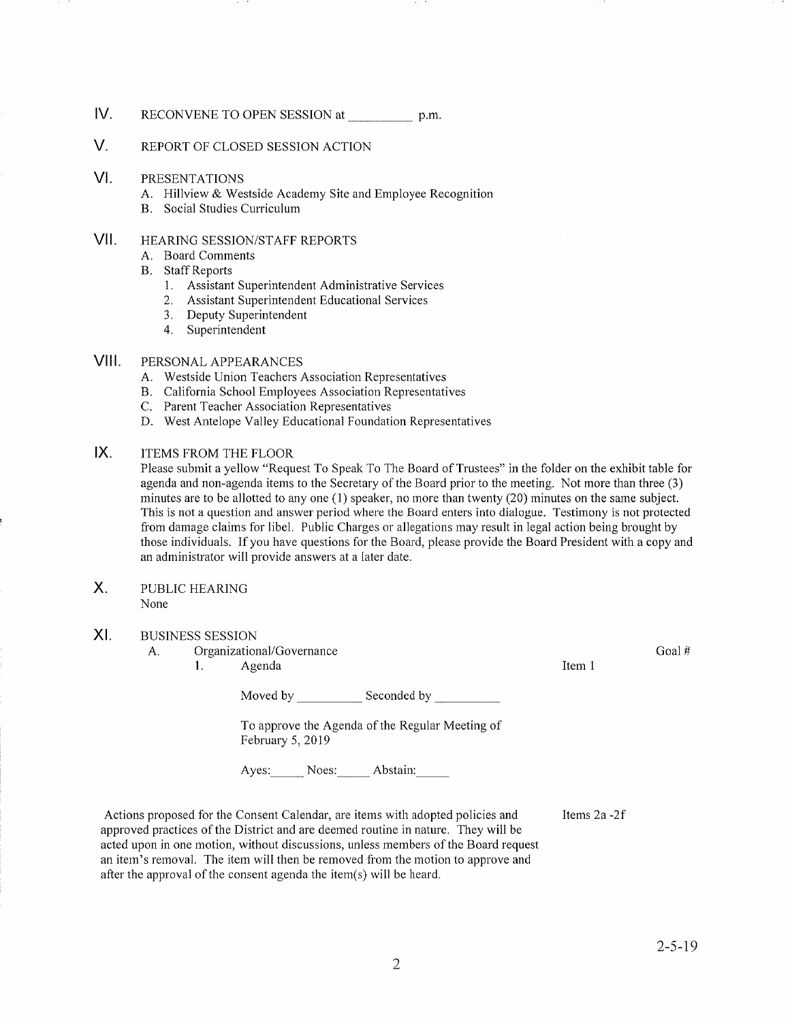## lV. RECoNVENE To oPEN SESSIoN at p.m.

#### $V_{\perp}$ REPORT OF CLOSED SESSION ACTION

#### $VI.$ PRESENTATIONS

- A. Hillview & Westside Academy Site and Employee Recognition B. Social Studies Curiculum
- 

#### vil HEARING SESSION/STAFF REPORTS

- 
- 
- A. Board Comments<br>
B. Staff Reports<br>
1. Assistant Superintendent Administrative Services<br>
2. Assistant Superintendent Educational Services<br>
3. Deputy Superintendent<br>
4. Superintendent
	-
	-
	-

### PERSONAL APPEARANCES vil

- 
- 
- 
- A. Westside Union Teachers Association Representatives<br>
B. California School Employees Association Representatives<br>
C. Parent Teacher Association Representatives<br>
D. West Antelope Valley Educational Foundation Representati
- ITEMS FROM THE FLOOR  $IX.$

Please submit a yellow "Request To Speak To The Board of Trustees" in the folder on the exhibit table for agenda and non-agenda items to the Secretary of the Board prior to the meeting. Not more than three (3) minutes are to be allotted to any one  $(1)$  speaker, no more than twenty  $(20)$  minutes on the same subject. This is not a question and answer period \vhere the Board enters into dialogue. Testimony is not protected from damage claims for libel, Public Charges or allegations may result in legal action being brought by those individuals. Ifyou have questions for the Board, please provide the Board President with a copy and an administrator will provide answers at a later date,

X. PUBLIC HEARING None

#### xt. BUSINESS SESSION

A, Organizational/Governance 1. Agenda

Moved by \_\_\_\_\_\_\_\_\_\_\_\_\_\_ Seconded by \_\_

To approve the Agenda of the Regular Meeting of February 5, 2019

Ayes: Noes: Abstain:

Actions proposed for the Consent Calendar, are items with adopted policies and approved practices of the District and are deemed routine in nature. They will be acted upon in one motion, without discussions, unless members of the Board request an item's removal. The item will then be removed fiom the motion to approve and after the approval of the consent agenda the item $(s)$  will be heard.

Items 2a -2f

Item I

Goal #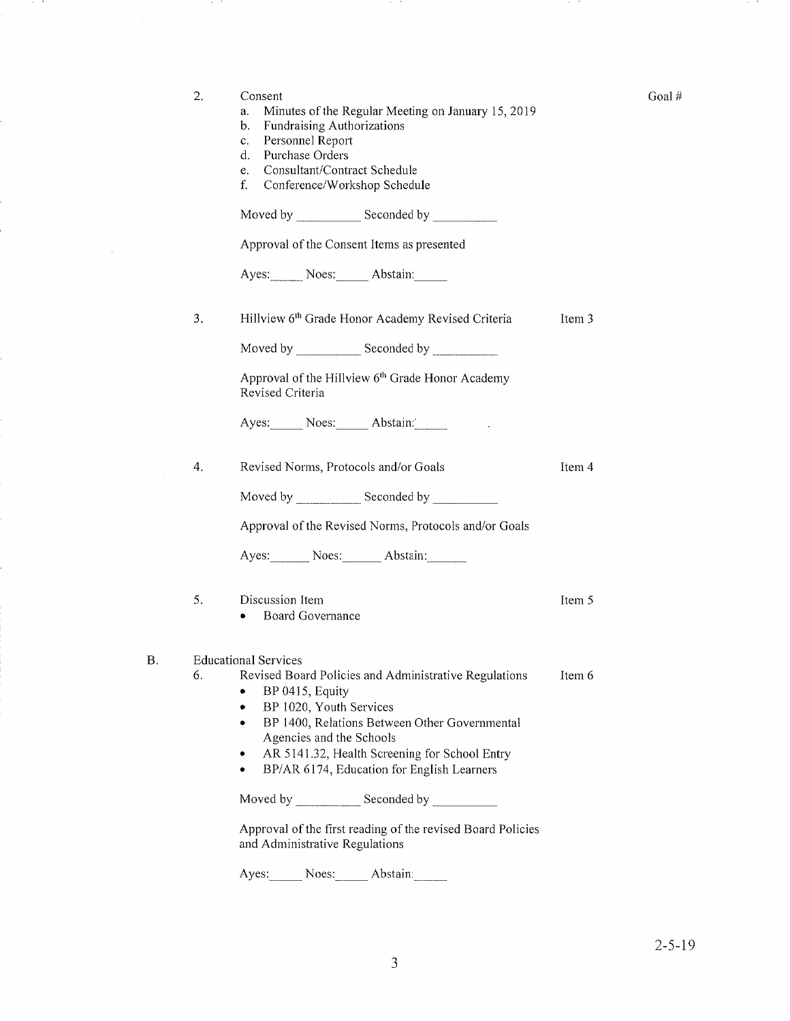| 2. | Consent<br>Minutes of the Regular Meeting on January 15, 2019<br>a.<br><b>Fundraising Authorizations</b><br>b.<br>Personnel Report<br>c.<br>Purchase Orders<br>d.<br>Consultant/Contract Schedule<br>е.<br>f.<br>Conference/Workshop Schedule                                                                                                                                                                                       |        | Goal# |
|----|-------------------------------------------------------------------------------------------------------------------------------------------------------------------------------------------------------------------------------------------------------------------------------------------------------------------------------------------------------------------------------------------------------------------------------------|--------|-------|
|    | Moved by Seconded by ________                                                                                                                                                                                                                                                                                                                                                                                                       |        |       |
|    | Approval of the Consent Items as presented                                                                                                                                                                                                                                                                                                                                                                                          |        |       |
|    | Ayes: Noes: Abstain:                                                                                                                                                                                                                                                                                                                                                                                                                |        |       |
| 3. | Hillview 6th Grade Honor Academy Revised Criteria                                                                                                                                                                                                                                                                                                                                                                                   | Item 3 |       |
|    | Moved by _______________ Seconded by _____________                                                                                                                                                                                                                                                                                                                                                                                  |        |       |
|    | Approval of the Hillview 6 <sup>th</sup> Grade Honor Academy<br>Revised Criteria                                                                                                                                                                                                                                                                                                                                                    |        |       |
|    | Ayes: Noes: Abstain.                                                                                                                                                                                                                                                                                                                                                                                                                |        |       |
| 4. | Revised Norms, Protocols and/or Goals                                                                                                                                                                                                                                                                                                                                                                                               | Item 4 |       |
|    |                                                                                                                                                                                                                                                                                                                                                                                                                                     |        |       |
|    | Approval of the Revised Norms, Protocols and/or Goals                                                                                                                                                                                                                                                                                                                                                                               |        |       |
|    | Ayes: Noes: Abstain:                                                                                                                                                                                                                                                                                                                                                                                                                |        |       |
| 5. | Discussion Item<br>Board Governance<br>٠                                                                                                                                                                                                                                                                                                                                                                                            | Item 5 |       |
| 6. | <b>Educational Services</b><br>Revised Board Policies and Administrative Regulations<br>BP 0415, Equity<br>BP 1020, Youth Services<br>٠<br>BP 1400, Relations Between Other Governmental<br>٠<br>Agencies and the Schools<br>AR 5141.32, Health Screening for School Entry<br>٠<br>BP/AR 6174, Education for English Learners<br>۰<br>Approval of the first reading of the revised Board Policies<br>and Administrative Regulations | Item 6 |       |
|    |                                                                                                                                                                                                                                                                                                                                                                                                                                     |        |       |

and the

and the

e tro

30 TO

 $\cdot$ 

 $\overline{B}$ .

and the State

Ayes: Noes: Abstain: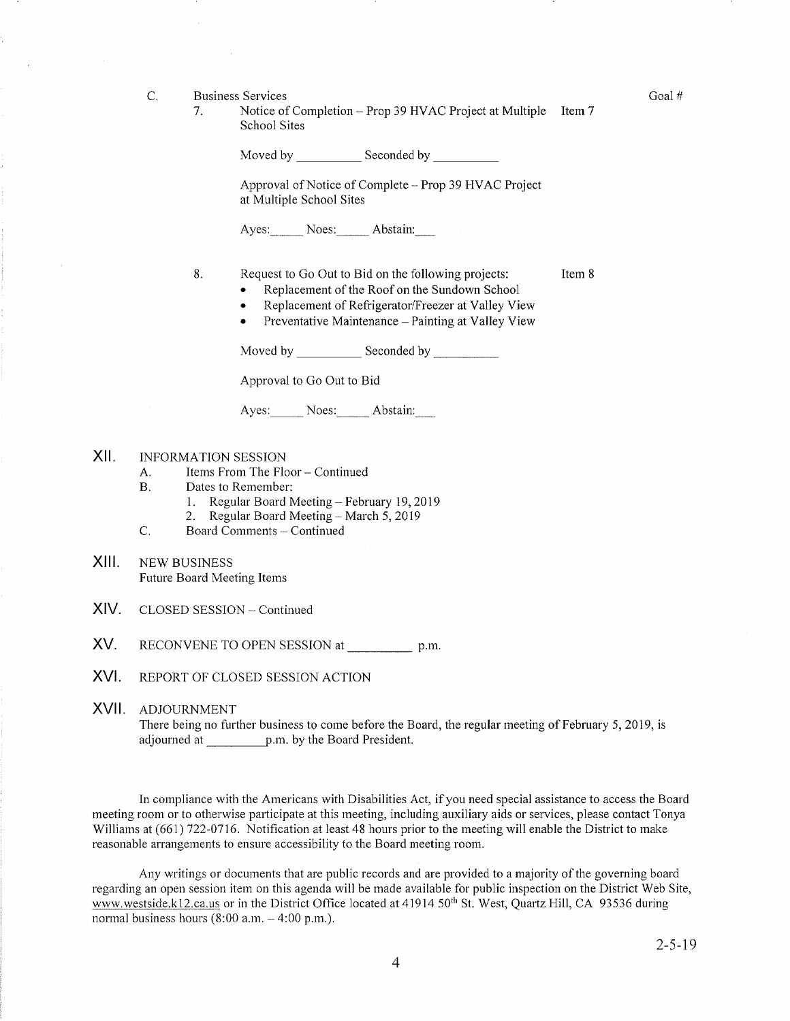C. Business Services

7. Notice of Completion - Prop 39 HVAC Project at Multiple Item <sup>7</sup> School Sites

Moved by Seconded by Seconded by

Approval of Notice of Complete - Prop 39 HVAC Project at Multiple School Sites

Ayes: Noes: Abstain:

Request to Go Out to Bid on the following projects: Item 8 8.

Replacement of the Roof on the Sundown School

. Replacement of Refrigerator/Freezer at Valley View

 $\bullet$  Preventative Maintenance – Painting at Valley View

Moved by Seconded by Seconded by Seconded by Seconded by Seconded by Seconded by Seconded by Seconded by Seconded by Seconded by Seconded by Seconded by Seconded by Seconded by Seconded by Seconded by Seconded by Seconded

Approval to Go Out to Bid

Aves: Noes: Abstain:

## xil. INFORMATION SESSTON

- A. Items From The Floor Continued<br>B. Dates to Remember:
- 
- 1. Regular Board Meeting February 19, 2019<br>2. Regular Board Meeting March 5, 2019<br>C. Board Comments Continued
	-
- 
- NEW BUSINESS Future Board Meeting Items xilt.
- CLOSED SESSION Continued XIV.
- RECONVENE TO OPEN SESSION at \_\_\_\_\_\_\_\_\_\_\_\_\_\_\_\_\_\_ p.m. XV.
- REPORT OF CLOSED SESSION ACTION XVI.
- XVII. ADJOURNMENT There being no further business to come before the Board, the regular meeting of February 5, 2019, is adjourned at p.m. by the Board President.

In compliance with the Americans with Disabilities Act, if you need special assistance to access the Board meeting room or to otherwise participate at this meeting, including auxiliary aids or services, please contact Tonya Williams at (661) 722-0716. Notification at least 48 hours prior to the meeting will enable the District to make reasonable arrangements to ensure accessibility to the Board meeting room.

Any writings or documents that are public records and are provided to a majority ofthe governing board regarding an open session item on this agenda will be made available for public inspection on the District Web Site, www.westside.k12.ca.us or in the District Office located at 41914 50<sup>th</sup> St. West, Quartz Hill, CA 93536 during normal business hours  $(8:00$  a.m.  $- 4:00$  p.m.).

Goal #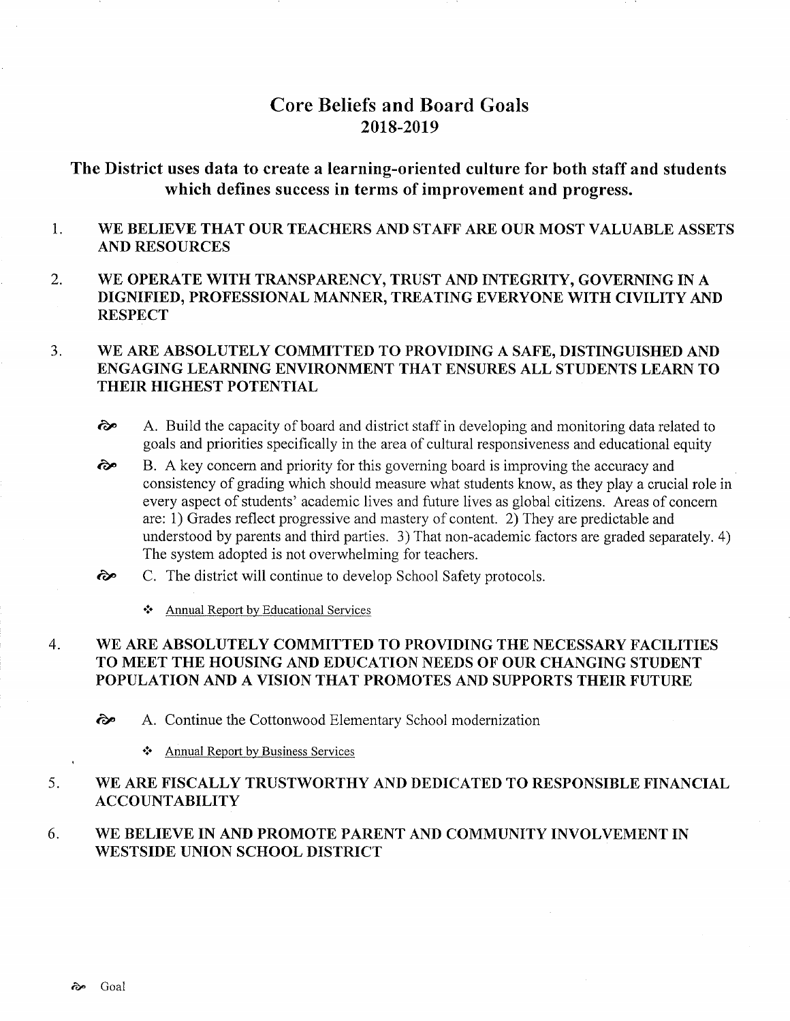# **Core Beliefs and Board Goals** 2018-2019

# The District uses data to create a learning-oriented culture for both staff and students which defines success in terms of improvement and progress.

- WE BELIEVE THAT OUR TEACHERS AND STAFF ARE OUR MOST VALUABLE ASSETS  $\mathbf{1}$ . **AND RESOURCES**
- $\overline{2}$ . WE OPERATE WITH TRANSPARENCY, TRUST AND INTEGRITY, GOVERNING IN A DIGNIFIED, PROFESSIONAL MANNER, TREATING EVERYONE WITH CIVILITY AND **RESPECT**

### 3. WE ARE ABSOLUTELY COMMITTED TO PROVIDING A SAFE, DISTINGUISHED AND ENGAGING LEARNING ENVIRONMENT THAT ENSURES ALL STUDENTS LEARN TO THEIR HIGHEST POTENTIAL

- $\hat{\mathbf{\infty}}$ A. Build the capacity of board and district staff in developing and monitoring data related to goals and priorities specifically in the area of cultural responsiveness and educational equity
- જે B. A key concern and priority for this governing board is improving the accuracy and consistency of grading which should measure what students know, as they play a crucial role in every aspect of students' academic lives and future lives as global citizens. Areas of concern are: 1) Grades reflect progressive and mastery of content. 2) They are predictable and understood by parents and third parties. 3) That non-academic factors are graded separately. 4) The system adopted is not overwhelming for teachers.
- જે C. The district will continue to develop School Safety protocols.
	- Annual Report by Educational Services

### WE ARE ABSOLUTELY COMMITTED TO PROVIDING THE NECESSARY FACILITIES  $\overline{4}$ . TO MEET THE HOUSING AND EDUCATION NEEDS OF OUR CHANGING STUDENT POPULATION AND A VISION THAT PROMOTES AND SUPPORTS THEIR FUTURE

જે A. Continue the Cottonwood Elementary School modernization

❖ Annual Report by Business Services

### $5<sub>1</sub>$ WE ARE FISCALLY TRUSTWORTHY AND DEDICATED TO RESPONSIBLE FINANCIAL **ACCOUNTABILITY**

WE BELIEVE IN AND PROMOTE PARENT AND COMMUNITY INVOLVEMENT IN 6. **WESTSIDE UNION SCHOOL DISTRICT**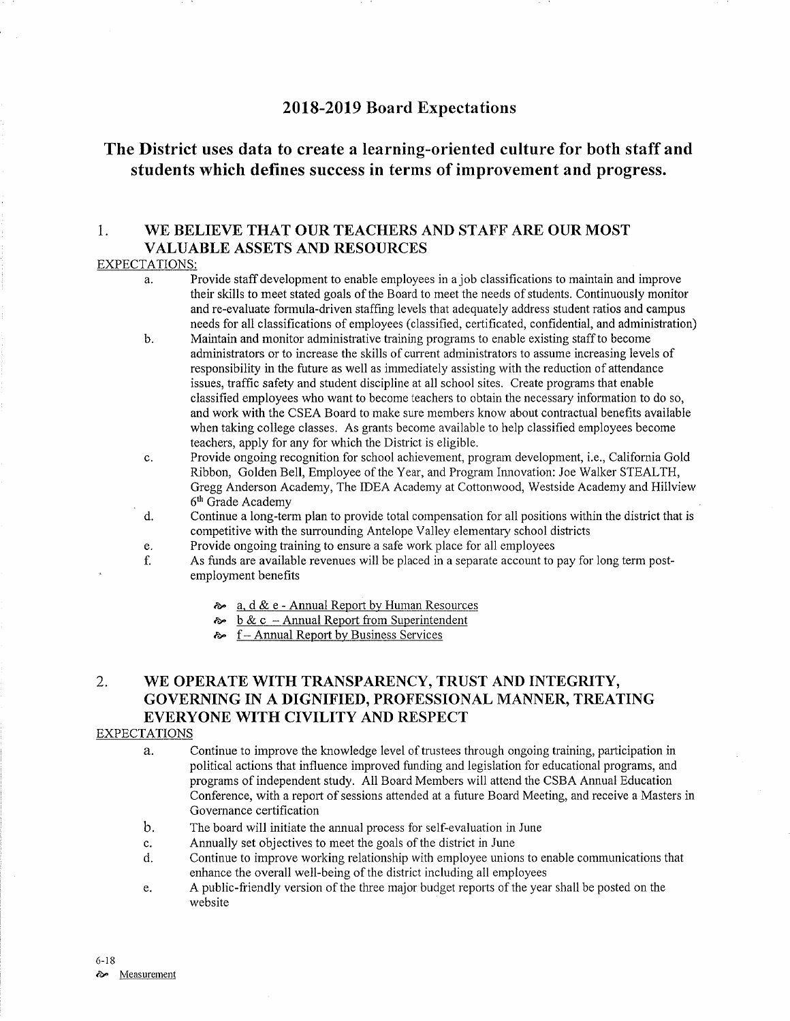## 2018-2019 Board Expectations

# The District uses data to create a learning-oriented culture for both staff and students which defines success in terms of improvement and progress.

### $\mathbf{1}$ . WE BELIEVE THAT OUR TEACHERS AND STAFF ARE OUR MOST **VALUABLE ASSETS AND RESOURCES**

## **EXPECTATIONS:**

- Provide staff development to enable employees in a job classifications to maintain and improve a. their skills to meet stated goals of the Board to meet the needs of students. Continuously monitor and re-evaluate formula-driven staffing levels that adequately address student ratios and campus needs for all classifications of employees (classified, certificated, confidential, and administration)
- Maintain and monitor administrative training programs to enable existing staff to become  $\mathbf b$ . administrators or to increase the skills of current administrators to assume increasing levels of responsibility in the future as well as immediately assisting with the reduction of attendance issues, traffic safety and student discipline at all school sites. Create programs that enable classified employees who want to become teachers to obtain the necessary information to do so, and work with the CSEA Board to make sure members know about contractual benefits available when taking college classes. As grants become available to help classified employees become teachers, apply for any for which the District is eligible.
- Provide ongoing recognition for school achievement, program development, i.e., California Gold  $\mathbf{c}$ . Ribbon, Golden Bell, Employee of the Year, and Program Innovation: Joe Walker STEALTH, Gregg Anderson Academy, The IDEA Academy at Cottonwood, Westside Academy and Hillview 6<sup>th</sup> Grade Academy
- Continue a long-term plan to provide total compensation for all positions within the district that is  $d_{\cdot}$ competitive with the surrounding Antelope Valley elementary school districts
- Provide ongoing training to ensure a safe work place for all employees e.
- f. As funds are available revenues will be placed in a separate account to pay for long term postemployment benefits
	- $\approx a, d \& e$  Annual Report by Human Resources
	- $\approx$  b & c Annual Report from Superintendent
	- ↑ f Annual Report by Business Services

### 2. WE OPERATE WITH TRANSPARENCY, TRUST AND INTEGRITY, GOVERNING IN A DIGNIFIED, PROFESSIONAL MANNER, TREATING **EVERYONE WITH CIVILITY AND RESPECT**

## **EXPECTATIONS**

- Continue to improve the knowledge level of trustees through ongoing training, participation in a. political actions that influence improved funding and legislation for educational programs, and programs of independent study. All Board Members will attend the CSBA Annual Education Conference, with a report of sessions attended at a future Board Meeting, and receive a Masters in Governance certification
- $h_{\cdot}$ The board will initiate the annual process for self-evaluation in June
- Annually set objectives to meet the goals of the district in June c.
- $\mathbf{d}$ . Continue to improve working relationship with employee unions to enable communications that enhance the overall well-being of the district including all employees
- A public-friendly version of the three major budget reports of the year shall be posted on the e. website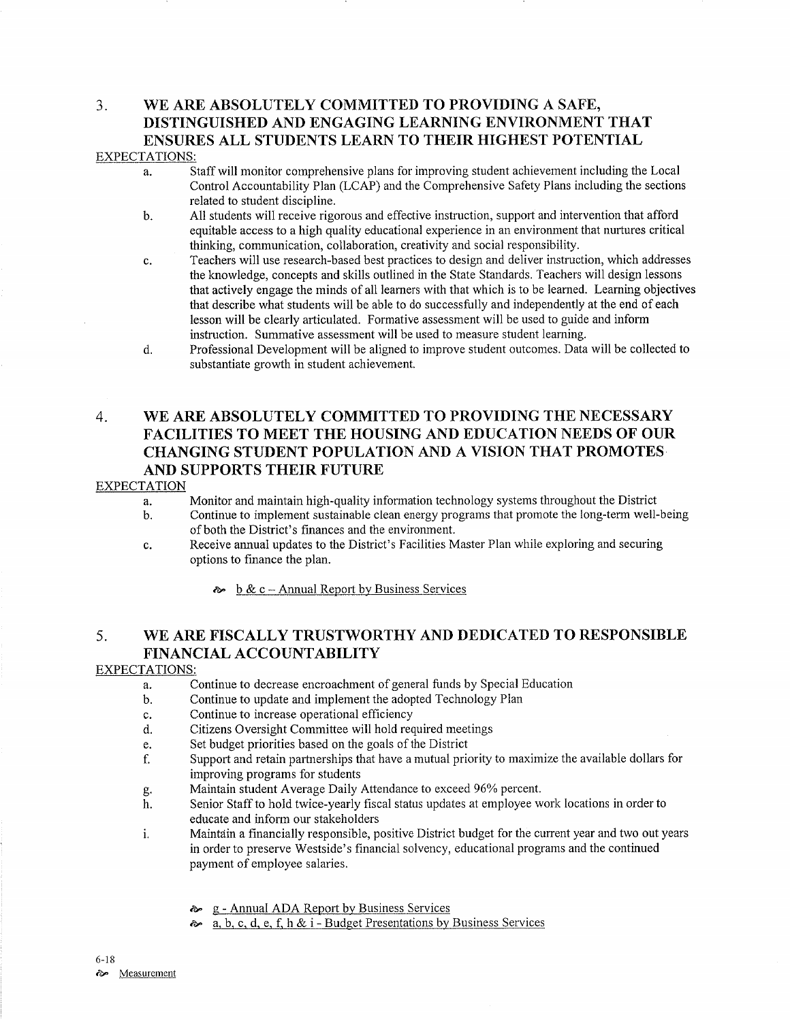## 3. WE ARE ABSOLUTELY COMMITTED TO PROVIDING A SAFE, DISTINGUISHED AND ENGAGING LEARNING ENVIRONMENT THAT ENSURSS ALL STUDENTS LEARN TO THEIR HIGHEST POTENTIAL EXPECTATIONS:

- a. Staff will monitor comprehensive plans for improving student achievement including the Local Control Accountability Plan (LCAP) and the Comprehensive Safety Plans including the sections related to student discipline.
- b. All students will receive rigorous and effective instruction, support and intervention that afford equitable access to a high quality educational experience in an environment that nurtures critical thinking, communication, collaboration, creativity and sociaì responsibility.
- c. Teachers will use research-based best practices to design and deliver instruction, which addresses the knowledge, concepts and skills outlined in the State Standards. Teachers will design lessons that actively engage the minds of all learners with that which is to be learned. Leaming objectives that describe what students will be able to do successfully and independently at the end of each lesson will be clearly articulated. Formative assessment will be used to guide and inform instruction. Summative assessment will be used to measure student learning.
- d. Professional Development will be aligned to improve student outcomes. Data will be collected to substantiate growth in student achievement.

# 4. WE ARE ABSOLUTELY COMMITTED TO PROVIDING THE NECESSARY FACILITIES TO MEET THE HOUSING AND EDUCATION NEEDS OF OUR CHÄNGING STUDENT POPULATION AND A VISION THAT PROMOTES AND SUPPORTS THEIR FUTURE

## EXPECTATION

- 
- a. Monitor and maintain high-quality information technology systems thoughout the District b. Contínue to implement sustainable clean energy programs that promote the long-term well-being of both the District's finances and the environment.
- c. Receive amual updates to the District's Facilities Master Plan while exploring and securing options to finance the plan.
	- $\approx b \& c \text{Annual Report by Business Services}$

# 5. WE ARE FISCALLY TRUSTWORTHY AND DEDICATED TO RESPONSIBLE FINANCIAL ACCOUNTABILITY

## EXPECTATIONS:

- a. Continue to decrease encroachment of general funds by Special Education<br>b. Continue to update and implement the adopted Technology Plan<br>c. Continue to increase operational efficiency
- 
- 
- c. Continue to increase operational efficiency<br>d. Citizens Oversight Committee will hold required meetings<br>e. Set budget priorities based on the goals of the District
- 
- e. Set budget priorities based on the goals of the District ending the state in Support and retain partnerships that have a mutual priority to maximize the available dollars for
- improving programs for students<br>Maintain student Average Daily Attendance to exceed 96% percent.
- g. Maintain student Average Daily Attendance to exceed 96% percent.<br>h. Senior Staff to hold twice-yearly fiscal status updates at employee work locations in order to educate and inform our stakeholders
- i. Maintain a financially responsible, positive District budget for the current year and two out years in order to preserve Westside's financial solvency, educational programs and the continued payment of employee salaries.
	- <sup>g</sup> Annual ADA Report by Business Services
	- $\approx a$ , b, c, d, e, f, h & i Budget Presentations by Business Services